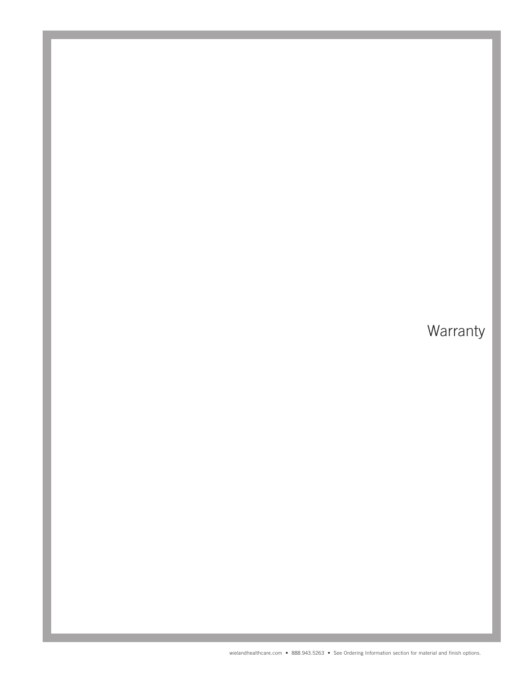# **Warranty**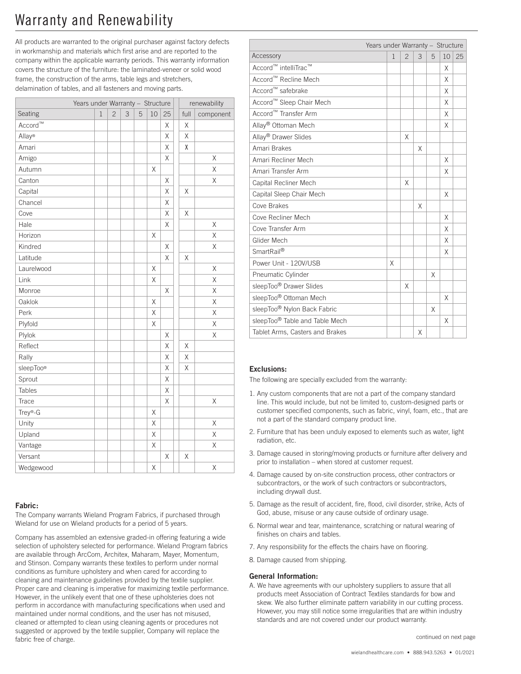# Warranty and Renewability

All products are warranted to the original purchaser against factory defects in workmanship and materials which first arise and are reported to the company within the applicable warranty periods. This warranty information covers the structure of the furniture: the laminated-veneer or solid wood frame, the construction of the arms, table legs and stretchers, delamination of tables, and all fasteners and moving parts.

|                             |   | Years under Warranty - Structure |                |   |   |             |          | renewability |           |  |
|-----------------------------|---|----------------------------------|----------------|---|---|-------------|----------|--------------|-----------|--|
| Seating                     | 1 |                                  | $\overline{c}$ | 3 | 5 | 10          | 25       | full         | component |  |
| $\text{Accord}^{\text{TM}}$ |   |                                  |                |   |   |             | Χ        | Χ            |           |  |
| Allay <sup>®</sup>          |   |                                  |                |   |   |             | X        | X            |           |  |
| Amari                       |   |                                  |                |   |   |             | $\chi$   | X            |           |  |
| Amigo                       |   |                                  |                |   |   |             | Χ        |              | Χ         |  |
| Autumn                      |   |                                  |                |   |   | Χ           |          |              | Χ         |  |
| Canton                      |   |                                  |                |   |   |             | Χ        |              | Χ         |  |
| Capital                     |   |                                  |                |   |   |             | Χ        | Χ            |           |  |
| Chancel                     |   |                                  |                |   |   |             | X        |              |           |  |
| Cove                        |   |                                  |                |   |   |             | Χ        | X            |           |  |
| Hale                        |   |                                  |                |   |   |             | X        |              | X         |  |
| Horizon                     |   |                                  |                |   |   | Χ           |          |              | X         |  |
| Kindred                     |   |                                  |                |   |   |             | X        |              | Χ         |  |
| Latitude                    |   |                                  |                |   |   |             | X        | Χ            |           |  |
| Laurelwood                  |   |                                  |                |   |   | Χ           |          |              | Χ         |  |
| Link                        |   |                                  |                |   |   | Χ           |          |              | Χ         |  |
| Monroe                      |   |                                  |                |   |   |             | X        |              | Χ         |  |
| Oaklok                      |   |                                  |                |   |   | X           |          |              | Χ         |  |
| Perk                        |   |                                  |                |   |   | X           |          |              | X         |  |
| Plyfold                     |   |                                  |                |   |   | Χ           |          |              | Χ         |  |
| Plylok                      |   |                                  |                |   |   |             | Χ        |              | Χ         |  |
| Reflect                     |   |                                  |                |   |   |             | Χ        | Χ            |           |  |
| Rally                       |   |                                  |                |   |   |             | X        | Χ            |           |  |
| sleepToo®                   |   |                                  |                |   |   |             | $\chi$   | X            |           |  |
| Sprout                      |   |                                  |                |   |   |             | X        |              |           |  |
| Tables                      |   |                                  |                |   |   |             | X        |              |           |  |
| Trace                       |   |                                  |                |   |   |             | X        |              | Χ         |  |
| Trey®-G                     |   |                                  |                |   |   | Χ           |          |              |           |  |
| Unity                       |   |                                  |                |   |   | Χ           |          |              | Χ         |  |
| Upland                      |   |                                  |                |   |   | Χ           |          |              | Χ         |  |
| Vantage                     |   |                                  |                |   |   | Χ           |          |              | X         |  |
| Versant                     |   |                                  |                |   |   |             | $\times$ | X            |           |  |
| Wedgewood                   |   |                                  |                |   |   | $\mathsf X$ |          |              | Χ         |  |

### Fabric:

The Company warrants Wieland Program Fabrics, if purchased through Wieland for use on Wieland products for a period of 5 years.

Company has assembled an extensive graded-in offering featuring a wide selection of upholstery selected for performance. Wieland Program fabrics are available through ArcCom, Architex, Maharam, Mayer, Momentum, and Stinson. Company warrants these textiles to perform under normal conditions as furniture upholstery and when cared for according to cleaning and maintenance guidelines provided by the textile supplier. Proper care and cleaning is imperative for maximizing textile performance. However, in the unlikely event that one of these upholsteries does not perform in accordance with manufacturing specifications when used and maintained under normal conditions, and the user has not misused, cleaned or attempted to clean using cleaning agents or procedures not suggested or approved by the textile supplier, Company will replace the fabric free of charge.<br>fabric free of charge.

|                                         | Years under Warranty - Structure |                |   |   |    |    |
|-----------------------------------------|----------------------------------|----------------|---|---|----|----|
| Accessory                               | $\mathbf{1}$                     | $\overline{2}$ | 3 | 5 | 10 | 25 |
| Accord™ intelliTrac™                    |                                  |                |   |   | X  |    |
| Accord <sup>™</sup> Recline Mech        |                                  |                |   |   | X  |    |
| Accord™ safebrake                       |                                  |                |   |   | X  |    |
| Accord™ Sleep Chair Mech                |                                  |                |   |   | X  |    |
| Accord <sup>™</sup> Transfer Arm        |                                  |                |   |   | X  |    |
| Allay <sup>®</sup> Ottoman Mech         |                                  |                |   |   | X  |    |
| Allay <sup>®</sup> Drawer Slides        |                                  | X              |   |   |    |    |
| Amari Brakes                            |                                  |                | X |   |    |    |
| Amari Recliner Mech                     |                                  |                |   |   | X  |    |
| Amari Transfer Arm                      |                                  |                |   |   | X  |    |
| Capital Recliner Mech                   |                                  | X              |   |   |    |    |
| Capital Sleep Chair Mech                |                                  |                |   |   | X  |    |
| Cove Brakes                             |                                  |                | X |   |    |    |
| Cove Recliner Mech                      |                                  |                |   |   | X  |    |
| Cove Transfer Arm                       |                                  |                |   |   | X  |    |
| Glider Mech                             |                                  |                |   |   | X  |    |
| SmartRail <sup>®</sup>                  |                                  |                |   |   | X  |    |
| Power Unit - 120V/USB                   | X                                |                |   |   |    |    |
| Pneumatic Cylinder                      |                                  |                |   | X |    |    |
| sleepToo <sup>®</sup> Drawer Slides     |                                  | X              |   |   |    |    |
| sleepToo® Ottoman Mech                  |                                  |                |   |   | X  |    |
| sleepToo <sup>®</sup> Nylon Back Fabric |                                  |                |   | X |    |    |
| sleepToo® Table and Table Mech          |                                  |                |   |   | X  |    |
| Tablet Arms, Casters and Brakes         |                                  |                | X |   |    |    |

#### Exclusions:

The following are specially excluded from the warranty:

- 1. Any custom components that are not a part of the company standard line. This would include, but not be limited to, custom-designed parts or customer specified components, such as fabric, vinyl, foam, etc., that are not a part of the standard company product line.
- 2. Furniture that has been unduly exposed to elements such as water, light radiation, etc.
- 3. Damage caused in storing/moving products or furniture after delivery and prior to installation – when stored at customer request.
- 4. Damage caused by on-site construction process, other contractors or subcontractors, or the work of such contractors or subcontractors, including drywall dust.
- 5. Damage as the result of accident, fire, flood, civil disorder, strike, Acts of God, abuse, misuse or any cause outside of ordinary usage.
- 6. Normal wear and tear, maintenance, scratching or natural wearing of finishes on chairs and tables.
- 7. Any responsibility for the effects the chairs have on flooring.
- 8. Damage caused from shipping.

#### General Information:

A. We have agreements with our upholstery suppliers to assure that all products meet Association of Contract Textiles standards for bow and skew. We also further eliminate pattern variability in our cutting process. However, you may still notice some irregularities that are within industry standards and are not covered under our product warranty.